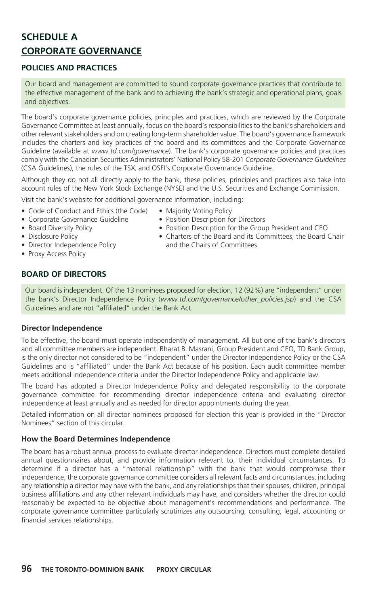# **SCHEDULE A CORPORATE GOVERNANCE**

## **POLICIES AND PRACTICES**

Our board and management are committed to sound corporate governance practices that contribute to the effective management of the bank and to achieving the bank's strategic and operational plans, goals and objectives.

The board's corporate governance policies, principles and practices, which are reviewed by the Corporate Governance Committee at least annually, focus on the board's responsibilities to the bank's shareholders and other relevant stakeholders and on creating long-term shareholder value. The board's governance framework includes the charters and key practices of the board and its committees and the Corporate Governance Guideline (available at *www.td.com/governance*). The bank's corporate governance policies and practices comply with the Canadian Securities Administrators' National Policy 58-201 *Corporate Governance Guidelines* (CSA Guidelines), the rules of the TSX, and OSFI's Corporate Governance Guideline.

Although they do not all directly apply to the bank, these policies, principles and practices also take into account rules of the New York Stock Exchange (NYSE) and the U.S. Securities and Exchange Commission.

• Majority Voting Policy

Visit the bank's website for additional governance information, including:

- Code of Conduct and Ethics (the Code)
- Corporate Governance Guideline
- Board Diversity Policy
- Disclosure Policy
- Director Independence Policy
- Proxy Access Policy

# **BOARD OF DIRECTORS**

- Position Description for Directors • Position Description for the Group President and CEO
- Charters of the Board and its Committees, the Board Chair and the Chairs of Committees

Our board is independent. Of the 13 nominees proposed for election, 12 (92%) are "independent" under the bank's Director Independence Policy (*www.td.com/governance/other\_policies.jsp*) and the CSA Guidelines and are not "affiliated" under the Bank Act.

#### **Director Independence**

To be effective, the board must operate independently of management. All but one of the bank's directors and all committee members are independent. Bharat B. Masrani, Group President and CEO, TD Bank Group, is the only director not considered to be "independent" under the Director Independence Policy or the CSA Guidelines and is "affiliated" under the Bank Act because of his position. Each audit committee member meets additional independence criteria under the Director Independence Policy and applicable law.

The board has adopted a Director Independence Policy and delegated responsibility to the corporate governance committee for recommending director independence criteria and evaluating director independence at least annually and as needed for director appointments during the year.

Detailed information on all director nominees proposed for election this year is provided in the "Director Nominees" section of this circular.

#### **How the Board Determines Independence**

The board has a robust annual process to evaluate director independence. Directors must complete detailed annual questionnaires about, and provide information relevant to, their individual circumstances. To determine if a director has a "material relationship" with the bank that would compromise their independence, the corporate governance committee considers all relevant facts and circumstances, including any relationship a director may have with the bank, and any relationships that their spouses, children, principal business affiliations and any other relevant individuals may have, and considers whether the director could reasonably be expected to be objective about management's recommendations and performance. The corporate governance committee particularly scrutinizes any outsourcing, consulting, legal, accounting or financial services relationships.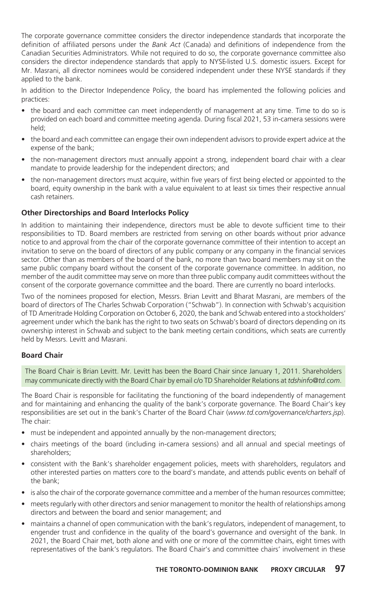The corporate governance committee considers the director independence standards that incorporate the definition of affiliated persons under the *Bank Act* (Canada) and definitions of independence from the Canadian Securities Administrators. While not required to do so, the corporate governance committee also considers the director independence standards that apply to NYSE-listed U.S. domestic issuers. Except for Mr. Masrani, all director nominees would be considered independent under these NYSE standards if they applied to the bank.

In addition to the Director Independence Policy, the board has implemented the following policies and practices:

- the board and each committee can meet independently of management at any time. Time to do so is provided on each board and committee meeting agenda. During fiscal 2021, 53 in-camera sessions were held;
- the board and each committee can engage their own independent advisors to provide expert advice at the expense of the bank;
- the non-management directors must annually appoint a strong, independent board chair with a clear mandate to provide leadership for the independent directors; and
- the non-management directors must acquire, within five years of first being elected or appointed to the board, equity ownership in the bank with a value equivalent to at least six times their respective annual cash retainers.

### **Other Directorships and Board Interlocks Policy**

In addition to maintaining their independence, directors must be able to devote sufficient time to their responsibilities to TD. Board members are restricted from serving on other boards without prior advance notice to and approval from the chair of the corporate governance committee of their intention to accept an invitation to serve on the board of directors of any public company or any company in the financial services sector. Other than as members of the board of the bank, no more than two board members may sit on the same public company board without the consent of the corporate governance committee. In addition, no member of the audit committee may serve on more than three public company audit committees without the consent of the corporate governance committee and the board. There are currently no board interlocks.

Two of the nominees proposed for election, Messrs. Brian Levitt and Bharat Masrani, are members of the board of directors of The Charles Schwab Corporation ("Schwab"). In connection with Schwab's acquisition of TD Ameritrade Holding Corporation on October 6, 2020, the bank and Schwab entered into a stockholders' agreement under which the bank has the right to two seats on Schwab's board of directors depending on its ownership interest in Schwab and subject to the bank meeting certain conditions, which seats are currently held by Messrs. Levitt and Masrani.

#### **Board Chair**

The Board Chair is Brian Levitt. Mr. Levitt has been the Board Chair since January 1, 2011. Shareholders may communicate directly with the Board Chair by email c/o TD Shareholder Relations at *tdshinfo@td.com*.

The Board Chair is responsible for facilitating the functioning of the board independently of management and for maintaining and enhancing the quality of the bank's corporate governance. The Board Chair's key responsibilities are set out in the bank's Charter of the Board Chair (*www.td.com/governance/charters.jsp*). The chair:

- must be independent and appointed annually by the non-management directors;
- chairs meetings of the board (including in-camera sessions) and all annual and special meetings of shareholders;
- consistent with the Bank's shareholder engagement policies, meets with shareholders, regulators and other interested parties on matters core to the board's mandate, and attends public events on behalf of the bank;
- is also the chair of the corporate governance committee and a member of the human resources committee;
- meets regularly with other directors and senior management to monitor the health of relationships among directors and between the board and senior management; and
- maintains a channel of open communication with the bank's regulators, independent of management, to engender trust and confidence in the quality of the board's governance and oversight of the bank. In 2021, the Board Chair met, both alone and with one or more of the committee chairs, eight times with representatives of the bank's regulators. The Board Chair's and committee chairs' involvement in these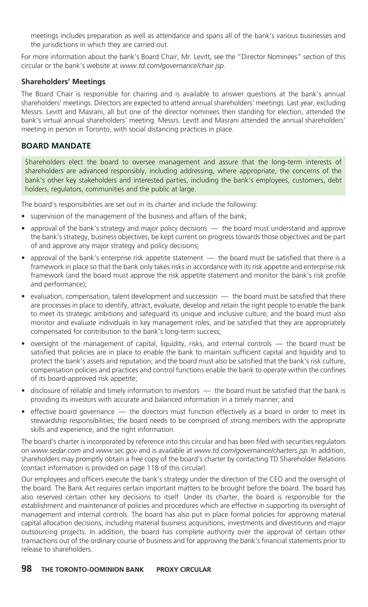meetings includes preparation as well as attendance and spans all of the bank's various businesses and the jurisdictions in which they are carried out.

For more information about the bank's Board Chair, Mr. Levitt, see the "Director Nominees" section of this circular or the bank's website at *www.td.com/governance/chair.jsp*.

#### **Shareholders' Meetings**

The Board Chair is responsible for chairing and is available to answer questions at the bank's annual shareholders' meetings. Directors are expected to attend annual shareholders' meetings. Last year, excluding Messrs. Levitt and Masrani, all but one of the director nominees then standing for election, attended the bank's virtual annual shareholders' meeting. Messrs. Levitt and Masrani attended the annual shareholders' meeting in person in Toronto, with social distancing practices in place.

## **BOARD MANDATE**

Shareholders elect the board to oversee management and assure that the long-term interests of shareholders are advanced responsibly, including addressing, where appropriate, the concerns of the bank's other key stakeholders and interested parties, including the bank's employees, customers, debt holders, regulators, communities and the public at large.

The board's responsibilities are set out in its charter and include the following:

- supervision of the management of the business and affairs of the bank;
- approval of the bank's strategy and major policy decisions the board must understand and approve the bank's strategy, business objectives, be kept current on progress towards those objectives and be part of and approve any major strategy and policy decisions;
- approval of the bank's enterprise risk appetite statement  $-$  the board must be satisfied that there is a framework in place so that the bank only takes risks in accordance with its risk appetite and enterprise risk framework (and the board must approve the risk appetite statement and monitor the bank's risk profile and performance);
- evaluation, compensation, talent development and succession the board must be satisfied that there are processes in place to identify, attract, evaluate, develop and retain the right people to enable the bank to meet its strategic ambitions and safeguard its unique and inclusive culture; and the board must also monitor and evaluate individuals in key management roles, and be satisfied that they are appropriately compensated for contribution to the bank's long-term success;
- oversight of the management of capital, liquidity, risks, and internal controls the board must be satisfied that policies are in place to enable the bank to maintain sufficient capital and liquidity and to protect the bank's assets and reputation; and the board must also be satisfied that the bank's risk culture, compensation policies and practices and control functions enable the bank to operate within the confines of its board-approved risk appetite;
- disclosure of reliable and timely information to investors the board must be satisfied that the bank is providing its investors with accurate and balanced information in a timely manner; and
- effective board governance the directors must function effectively as a board in order to meet its stewardship responsibilities; the board needs to be comprised of strong members with the appropriate skills and experience, and the right information.

The board's charter is incorporated by reference into this circular and has been filed with securities regulators on *www.sedar.com* and *www.sec.gov* and is available at *www.td.com/governance/charters.jsp*. In addition, shareholders may promptly obtain a free copy of the board's charter by contacting TD Shareholder Relations (contact information is provided on page 118 of this circular).

Our employees and officers execute the bank's strategy under the direction of the CEO and the oversight of the board. The Bank Act requires certain important matters to be brought before the board. The board has also reserved certain other key decisions to itself. Under its charter, the board is responsible for the establishment and maintenance of policies and procedures which are effective in supporting its oversight of management and internal controls. The board has also put in place formal policies for approving material capital allocation decisions, including material business acquisitions, investments and divestitures and major outsourcing projects. In addition, the board has complete authority over the approval of certain other transactions out of the ordinary course of business and for approving the bank's financial statements prior to release to shareholders.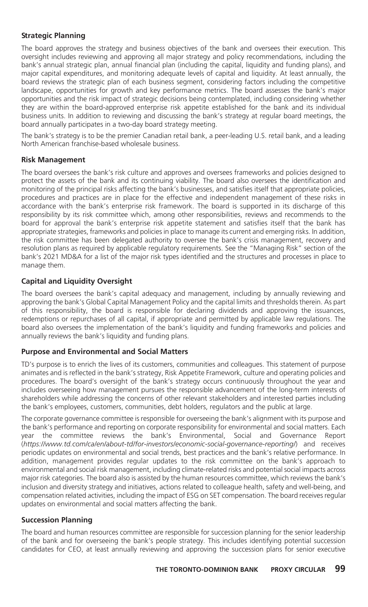#### **Strategic Planning**

The board approves the strategy and business objectives of the bank and oversees their execution. This oversight includes reviewing and approving all major strategy and policy recommendations, including the bank's annual strategic plan, annual financial plan (including the capital, liquidity and funding plans), and major capital expenditures, and monitoring adequate levels of capital and liquidity. At least annually, the board reviews the strategic plan of each business segment, considering factors including the competitive landscape, opportunities for growth and key performance metrics. The board assesses the bank's major opportunities and the risk impact of strategic decisions being contemplated, including considering whether they are within the board-approved enterprise risk appetite established for the bank and its individual business units. In addition to reviewing and discussing the bank's strategy at regular board meetings, the board annually participates in a two-day board strategy meeting.

The bank's strategy is to be the premier Canadian retail bank, a peer-leading U.S. retail bank, and a leading North American franchise-based wholesale business.

#### **Risk Management**

The board oversees the bank's risk culture and approves and oversees frameworks and policies designed to protect the assets of the bank and its continuing viability. The board also oversees the identification and monitoring of the principal risks affecting the bank's businesses, and satisfies itself that appropriate policies, procedures and practices are in place for the effective and independent management of these risks in accordance with the bank's enterprise risk framework. The board is supported in its discharge of this responsibility by its risk committee which, among other responsibilities, reviews and recommends to the board for approval the bank's enterprise risk appetite statement and satisfies itself that the bank has appropriate strategies, frameworks and policies in place to manage its current and emerging risks. In addition, the risk committee has been delegated authority to oversee the bank's crisis management, recovery and resolution plans as required by applicable regulatory requirements. See the "Managing Risk" section of the bank's 2021 MD&A for a list of the major risk types identified and the structures and processes in place to manage them.

#### **Capital and Liquidity Oversight**

The board oversees the bank's capital adequacy and management, including by annually reviewing and approving the bank's Global Capital Management Policy and the capital limits and thresholds therein. As part of this responsibility, the board is responsible for declaring dividends and approving the issuances, redemptions or repurchases of all capital, if appropriate and permitted by applicable law regulations. The board also oversees the implementation of the bank's liquidity and funding frameworks and policies and annually reviews the bank's liquidity and funding plans.

#### **Purpose and Environmental and Social Matters**

TD's purpose is to enrich the lives of its customers, communities and colleagues. This statement of purpose animates and is reflected in the bank's strategy, Risk Appetite Framework, culture and operating policies and procedures. The board's oversight of the bank's strategy occurs continuously throughout the year and includes overseeing how management pursues the responsible advancement of the long-term interests of shareholders while addressing the concerns of other relevant stakeholders and interested parties including the bank's employees, customers, communities, debt holders, regulators and the public at large.

The corporate governance committee is responsible for overseeing the bank's alignment with its purpose and the bank's performance and reporting on corporate responsibility for environmental and social matters. Each year the committee reviews the bank's Environmental, Social and Governance Report (*https://www.td.com/ca/en/about-td/for-investors/economic-social-governance-reporting/*) and receives periodic updates on environmental and social trends, best practices and the bank's relative performance. In addition, management provides regular updates to the risk committee on the bank's approach to environmental and social risk management, including climate-related risks and potential social impacts across major risk categories. The board also is assisted by the human resources committee, which reviews the bank's inclusion and diversity strategy and initiatives, actions related to colleague health, safety and well-being, and compensation related activities, including the impact of ESG on SET compensation. The board receives regular updates on environmental and social matters affecting the bank.

#### **Succession Planning**

The board and human resources committee are responsible for succession planning for the senior leadership of the bank and for overseeing the bank's people strategy. This includes identifying potential succession candidates for CEO, at least annually reviewing and approving the succession plans for senior executive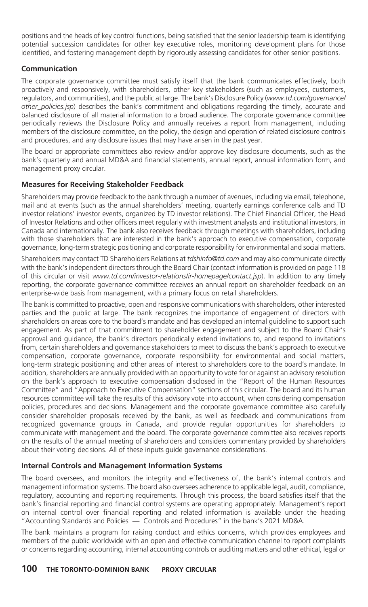positions and the heads of key control functions, being satisfied that the senior leadership team is identifying potential succession candidates for other key executive roles, monitoring development plans for those identified, and fostering management depth by rigorously assessing candidates for other senior positions.

#### **Communication**

The corporate governance committee must satisfy itself that the bank communicates effectively, both proactively and responsively, with shareholders, other key stakeholders (such as employees, customers, regulators, and communities), and the public at large. The bank's Disclosure Policy (*www.td.com/governance/ other\_policies.jsp*) describes the bank's commitment and obligations regarding the timely, accurate and balanced disclosure of all material information to a broad audience. The corporate governance committee periodically reviews the Disclosure Policy and annually receives a report from management, including members of the disclosure committee, on the policy, the design and operation of related disclosure controls and procedures, and any disclosure issues that may have arisen in the past year.

The board or appropriate committees also review and/or approve key disclosure documents, such as the bank's quarterly and annual MD&A and financial statements, annual report, annual information form, and management proxy circular.

### **Measures for Receiving Stakeholder Feedback**

Shareholders may provide feedback to the bank through a number of avenues, including via email, telephone, mail and at events (such as the annual shareholders' meeting, quarterly earnings conference calls and TD investor relations' investor events, organized by TD investor relations). The Chief Financial Officer, the Head of Investor Relations and other officers meet regularly with investment analysts and institutional investors, in Canada and internationally. The bank also receives feedback through meetings with shareholders, including with those shareholders that are interested in the bank's approach to executive compensation, corporate governance, long-term strategic positioning and corporate responsibility for environmental and social matters.

Shareholders may contact TD Shareholders Relations at *tdshinfo@td.com* and may also communicate directly with the bank's independent directors through the Board Chair (contact information is provided on page 118 of this circular or visit *www.td.com/investor-relations/ir-homepage/contact.jsp*). In addition to any timely reporting, the corporate governance committee receives an annual report on shareholder feedback on an enterprise-wide basis from management, with a primary focus on retail shareholders.

The bank is committed to proactive, open and responsive communications with shareholders, other interested parties and the public at large. The bank recognizes the importance of engagement of directors with shareholders on areas core to the board's mandate and has developed an internal guideline to support such engagement. As part of that commitment to shareholder engagement and subject to the Board Chair's approval and guidance, the bank's directors periodically extend invitations to, and respond to invitations from, certain shareholders and governance stakeholders to meet to discuss the bank's approach to executive compensation, corporate governance, corporate responsibility for environmental and social matters, long-term strategic positioning and other areas of interest to shareholders core to the board's mandate. In addition, shareholders are annually provided with an opportunity to vote for or against an advisory resolution on the bank's approach to executive compensation disclosed in the "Report of the Human Resources Committee" and "Approach to Executive Compensation" sections of this circular. The board and its human resources committee will take the results of this advisory vote into account, when considering compensation policies, procedures and decisions. Management and the corporate governance committee also carefully consider shareholder proposals received by the bank, as well as feedback and communications from recognized governance groups in Canada, and provide regular opportunities for shareholders to communicate with management and the board. The corporate governance committee also receives reports on the results of the annual meeting of shareholders and considers commentary provided by shareholders about their voting decisions. All of these inputs guide governance considerations.

#### **Internal Controls and Management Information Systems**

The board oversees, and monitors the integrity and effectiveness of, the bank's internal controls and management information systems. The board also oversees adherence to applicable legal, audit, compliance, regulatory, accounting and reporting requirements. Through this process, the board satisfies itself that the bank's financial reporting and financial control systems are operating appropriately. Management's report on internal control over financial reporting and related information is available under the heading "Accounting Standards and Policies — Controls and Procedures" in the bank's 2021 MD&A.

The bank maintains a program for raising conduct and ethics concerns, which provides employees and members of the public worldwide with an open and effective communication channel to report complaints or concerns regarding accounting, internal accounting controls or auditing matters and other ethical, legal or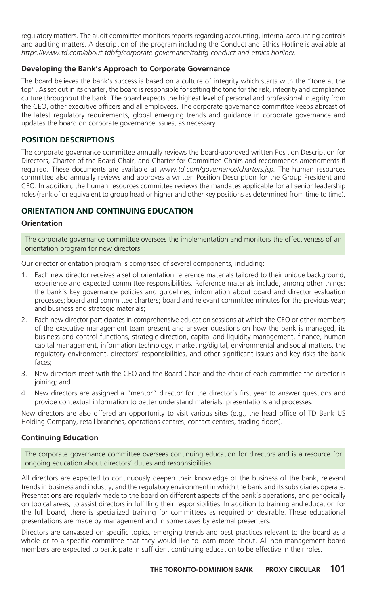regulatory matters. The audit committee monitors reports regarding accounting, internal accounting controls and auditing matters. A description of the program including the Conduct and Ethics Hotline is available at *https://www.td.com/about-tdbfg/corporate-governance/tdbfg-conduct-and-ethics-hotline/.*

#### **Developing the Bank's Approach to Corporate Governance**

The board believes the bank's success is based on a culture of integrity which starts with the "tone at the top". As set out in its charter, the board is responsible for setting the tone for the risk, integrity and compliance culture throughout the bank. The board expects the highest level of personal and professional integrity from the CEO, other executive officers and all employees. The corporate governance committee keeps abreast of the latest regulatory requirements, global emerging trends and guidance in corporate governance and updates the board on corporate governance issues, as necessary.

#### **POSITION DESCRIPTIONS**

The corporate governance committee annually reviews the board-approved written Position Description for Directors, Charter of the Board Chair, and Charter for Committee Chairs and recommends amendments if required. These documents are available at *www.td.com/governance/charters.jsp.* The human resources committee also annually reviews and approves a written Position Description for the Group President and CEO. In addition, the human resources committee reviews the mandates applicable for all senior leadership roles (rank of or equivalent to group head or higher and other key positions as determined from time to time).

## **ORIENTATION AND CONTINUING EDUCATION**

#### **Orientation**

The corporate governance committee oversees the implementation and monitors the effectiveness of an orientation program for new directors.

Our director orientation program is comprised of several components, including:

- 1. Each new director receives a set of orientation reference materials tailored to their unique background, experience and expected committee responsibilities. Reference materials include, among other things: the bank's key governance policies and guidelines; information about board and director evaluation processes; board and committee charters; board and relevant committee minutes for the previous year; and business and strategic materials;
- 2. Each new director participates in comprehensive education sessions at which the CEO or other members of the executive management team present and answer questions on how the bank is managed, its business and control functions, strategic direction, capital and liquidity management, finance, human capital management, information technology, marketing/digital, environmental and social matters, the regulatory environment, directors' responsibilities, and other significant issues and key risks the bank faces;
- 3. New directors meet with the CEO and the Board Chair and the chair of each committee the director is joining; and
- 4. New directors are assigned a "mentor" director for the director's first year to answer questions and provide contextual information to better understand materials, presentations and processes.

New directors are also offered an opportunity to visit various sites (e.g., the head office of TD Bank US Holding Company, retail branches, operations centres, contact centres, trading floors).

#### **Continuing Education**

The corporate governance committee oversees continuing education for directors and is a resource for ongoing education about directors' duties and responsibilities.

All directors are expected to continuously deepen their knowledge of the business of the bank, relevant trends in business and industry, and the regulatory environment in which the bank and its subsidiaries operate. Presentations are regularly made to the board on different aspects of the bank's operations, and periodically on topical areas, to assist directors in fulfilling their responsibilities. In addition to training and education for the full board, there is specialized training for committees as required or desirable. These educational presentations are made by management and in some cases by external presenters.

Directors are canvassed on specific topics, emerging trends and best practices relevant to the board as a whole or to a specific committee that they would like to learn more about. All non-management board members are expected to participate in sufficient continuing education to be effective in their roles.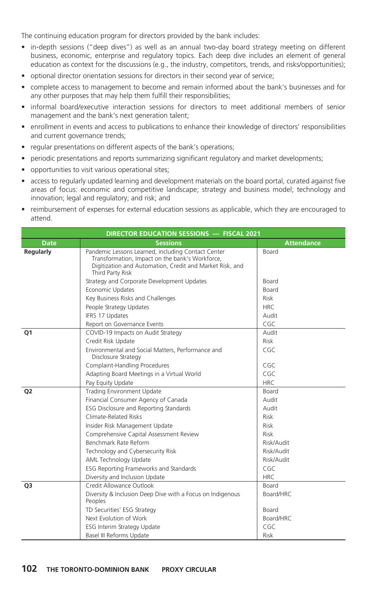The continuing education program for directors provided by the bank includes:

- in-depth sessions ("deep dives") as well as an annual two-day board strategy meeting on different business, economic, enterprise and regulatory topics. Each deep dive includes an element of general education as context for the discussions (e.g., the industry, competitors, trends, and risks/opportunities);
- optional director orientation sessions for directors in their second year of service;
- complete access to management to become and remain informed about the bank's businesses and for any other purposes that may help them fulfill their responsibilities;
- informal board/executive interaction sessions for directors to meet additional members of senior management and the bank's next generation talent;
- enrollment in events and access to publications to enhance their knowledge of directors' responsibilities and current governance trends;
- regular presentations on different aspects of the bank's operations;
- periodic presentations and reports summarizing significant regulatory and market developments;
- opportunities to visit various operational sites;
- access to regularly updated learning and development materials on the board portal, curated against five areas of focus: economic and competitive landscape; strategy and business model; technology and innovation; legal and regulatory; and risk; and
- reimbursement of expenses for external education sessions as applicable, which they are encouraged to attend.

|                  | DIRECTOR EDUCATION SESSIONS - FISCAL 2021                                                                                                                                             |                   |
|------------------|---------------------------------------------------------------------------------------------------------------------------------------------------------------------------------------|-------------------|
| <b>Date</b>      | <b>Sessions</b>                                                                                                                                                                       | <b>Attendance</b> |
| <b>Regularly</b> | Pandemic Lessons Learned, including Contact Center<br>Transformation, Impact on the bank's Workforce,<br>Digitization and Automation, Credit and Market Risk, and<br>Third Party Risk | Board             |
|                  | Strategy and Corporate Development Updates                                                                                                                                            | <b>Board</b>      |
|                  | Economic Updates                                                                                                                                                                      | Board             |
|                  | Key Business Risks and Challenges                                                                                                                                                     | <b>Risk</b>       |
|                  | People Strategy Updates                                                                                                                                                               | <b>HRC</b>        |
|                  | IFRS 17 Updates                                                                                                                                                                       | Audit             |
|                  | Report on Governance Events                                                                                                                                                           | CGC               |
| Q <sub>1</sub>   | COVID-19 Impacts on Audit Strategy                                                                                                                                                    | Audit             |
|                  | Credit Risk Update                                                                                                                                                                    | Risk              |
|                  | Environmental and Social Matters, Performance and<br>Disclosure Strategy                                                                                                              | CGC               |
|                  | <b>Complaint-Handling Procedures</b>                                                                                                                                                  | CGC               |
|                  | Adapting Board Meetings in a Virtual World                                                                                                                                            | CGC               |
|                  | Pay Equity Update                                                                                                                                                                     | <b>HRC</b>        |
| Q <sub>2</sub>   | <b>Trading Environment Update</b>                                                                                                                                                     | Board             |
|                  | Financial Consumer Agency of Canada                                                                                                                                                   | Audit             |
|                  | ESG Disclosure and Reporting Standards                                                                                                                                                | Audit             |
|                  | Climate-Related Risks                                                                                                                                                                 | Risk              |
|                  | Insider Risk Management Update                                                                                                                                                        | Risk              |
|                  | Comprehensive Capital Assessment Review                                                                                                                                               | Risk              |
|                  | Benchmark Rate Reform                                                                                                                                                                 | Risk/Audit        |
|                  | Technology and Cybersecurity Risk                                                                                                                                                     | Risk/Audit        |
|                  | AML Technology Update                                                                                                                                                                 | Risk/Audit        |
|                  | ESG Reporting Frameworks and Standards                                                                                                                                                | CGC               |
|                  | Diversity and Inclusion Update                                                                                                                                                        | <b>HRC</b>        |
| Q <sub>3</sub>   | Credit Allowance Outlook                                                                                                                                                              | Board             |
|                  | Diversity & Inclusion Deep Dive with a Focus on Indigenous<br>Peoples                                                                                                                 | Board/HRC         |
|                  | TD Securities' ESG Strategy                                                                                                                                                           | Board             |
|                  | Next Evolution of Work                                                                                                                                                                | Board/HRC         |
|                  | <b>ESG Interim Strategy Update</b>                                                                                                                                                    | CGC               |
|                  | Basel III Reforms Update                                                                                                                                                              | Risk              |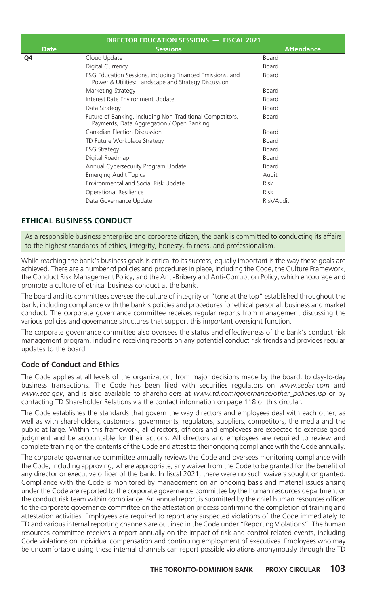| DIRECTOR EDUCATION SESSIONS - FISCAL 2021 |                                                                                                                   |                   |  |  |
|-------------------------------------------|-------------------------------------------------------------------------------------------------------------------|-------------------|--|--|
| <b>Date</b>                               | <b>Sessions</b>                                                                                                   | <b>Attendance</b> |  |  |
| Q4                                        | Cloud Update                                                                                                      | Board             |  |  |
|                                           | Digital Currency                                                                                                  | Board             |  |  |
|                                           | ESG Education Sessions, including Financed Emissions, and<br>Power & Utilities: Landscape and Strategy Discussion | Board             |  |  |
|                                           | Marketing Strategy                                                                                                | Board             |  |  |
|                                           | Interest Rate Environment Update                                                                                  | Board             |  |  |
|                                           | Data Strategy                                                                                                     | <b>Board</b>      |  |  |
|                                           | Future of Banking, including Non-Traditional Competitors,<br>Payments, Data Aggregation / Open Banking            | Board             |  |  |
|                                           | <b>Canadian Election Discussion</b>                                                                               | Board             |  |  |
|                                           | TD Future Workplace Strategy                                                                                      | <b>Board</b>      |  |  |
|                                           | <b>ESG Strategy</b>                                                                                               | <b>Board</b>      |  |  |
|                                           | Digital Roadmap                                                                                                   | <b>Board</b>      |  |  |
|                                           | Annual Cybersecurity Program Update                                                                               | Board             |  |  |
|                                           | <b>Emerging Audit Topics</b>                                                                                      | Audit             |  |  |
|                                           | Environmental and Social Risk Update                                                                              | <b>Risk</b>       |  |  |
|                                           | Operational Resilience                                                                                            | <b>Risk</b>       |  |  |
|                                           | Data Governance Update                                                                                            | Risk/Audit        |  |  |

## **ETHICAL BUSINESS CONDUCT**

As a responsible business enterprise and corporate citizen, the bank is committed to conducting its affairs to the highest standards of ethics, integrity, honesty, fairness, and professionalism.

While reaching the bank's business goals is critical to its success, equally important is the way these goals are achieved. There are a number of policies and procedures in place, including the Code, the Culture Framework, the Conduct Risk Management Policy, and the Anti-Bribery and Anti-Corruption Policy, which encourage and promote a culture of ethical business conduct at the bank.

The board and its committees oversee the culture of integrity or "tone at the top" established throughout the bank, including compliance with the bank's policies and procedures for ethical personal, business and market conduct. The corporate governance committee receives regular reports from management discussing the various policies and governance structures that support this important oversight function.

The corporate governance committee also oversees the status and effectiveness of the bank's conduct risk management program, including receiving reports on any potential conduct risk trends and provides regular updates to the board.

## **Code of Conduct and Ethics**

The Code applies at all levels of the organization, from major decisions made by the board, to day-to-day business transactions. The Code has been filed with securities regulators on *www.sedar.com* and *www.sec.gov*, and is also available to shareholders at *www.td.com/governance/other\_policies.jsp* or by contacting TD Shareholder Relations via the contact information on page 118 of this circular.

The Code establishes the standards that govern the way directors and employees deal with each other, as well as with shareholders, customers, governments, regulators, suppliers, competitors, the media and the public at large. Within this framework, all directors, officers and employees are expected to exercise good judgment and be accountable for their actions. All directors and employees are required to review and complete training on the contents of the Code and attest to their ongoing compliance with the Code annually.

The corporate governance committee annually reviews the Code and oversees monitoring compliance with the Code, including approving, where appropriate, any waiver from the Code to be granted for the benefit of any director or executive officer of the bank. In fiscal 2021, there were no such waivers sought or granted. Compliance with the Code is monitored by management on an ongoing basis and material issues arising under the Code are reported to the corporate governance committee by the human resources department or the conduct risk team within compliance. An annual report is submitted by the chief human resources officer to the corporate governance committee on the attestation process confirming the completion of training and attestation activities. Employees are required to report any suspected violations of the Code immediately to TD and various internal reporting channels are outlined in the Code under "Reporting Violations". The human resources committee receives a report annually on the impact of risk and control related events, including Code violations on individual compensation and continuing employment of executives. Employees who may be uncomfortable using these internal channels can report possible violations anonymously through the TD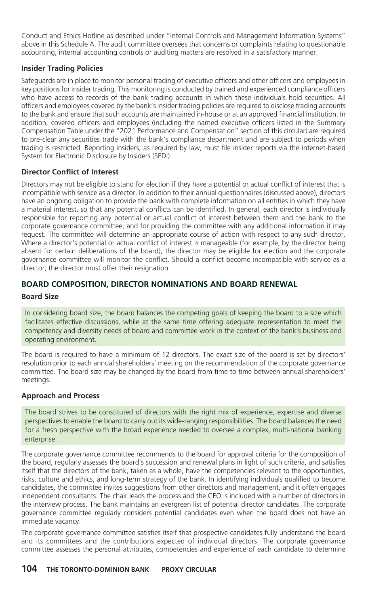Conduct and Ethics Hotline as described under "Internal Controls and Management Information Systems" above in this Schedule A. The audit committee oversees that concerns or complaints relating to questionable accounting, internal accounting controls or auditing matters are resolved in a satisfactory manner.

#### **Insider Trading Policies**

Safeguards are in place to monitor personal trading of executive officers and other officers and employees in key positions for insider trading. This monitoring is conducted by trained and experienced compliance officers who have access to records of the bank trading accounts in which these individuals hold securities. All officers and employees covered by the bank's insider trading policies are required to disclose trading accounts to the bank and ensure that such accounts are maintained in-house or at an approved financial institution. In addition, covered officers and employees (including the named executive officers listed in the Summary Compensation Table under the "2021 Performance and Compensation" section of this circular) are required to pre-clear any securities trade with the bank's compliance department and are subject to periods when trading is restricted. Reporting insiders, as required by law, must file insider reports via the internet-based System for Electronic Disclosure by Insiders (SEDI).

### **Director Conflict of Interest**

Directors may not be eligible to stand for election if they have a potential or actual conflict of interest that is incompatible with service as a director. In addition to their annual questionnaires (discussed above), directors have an ongoing obligation to provide the bank with complete information on all entities in which they have a material interest, so that any potential conflicts can be identified. In general, each director is individually responsible for reporting any potential or actual conflict of interest between them and the bank to the corporate governance committee, and for providing the committee with any additional information it may request. The committee will determine an appropriate course of action with respect to any such director. Where a director's potential or actual conflict of interest is manageable (for example, by the director being absent for certain deliberations of the board), the director may be eligible for election and the corporate governance committee will monitor the conflict. Should a conflict become incompatible with service as a director, the director must offer their resignation.

## **BOARD COMPOSITION, DIRECTOR NOMINATIONS AND BOARD RENEWAL**

#### **Board Size**

In considering board size, the board balances the competing goals of keeping the board to a size which facilitates effective discussions, while at the same time offering adequate representation to meet the competency and diversity needs of board and committee work in the context of the bank's business and operating environment.

The board is required to have a minimum of 12 directors. The exact size of the board is set by directors' resolution prior to each annual shareholders' meeting on the recommendation of the corporate governance committee. The board size may be changed by the board from time to time between annual shareholders' meetings.

#### **Approach and Process**

The board strives to be constituted of directors with the right mix of experience, expertise and diverse perspectives to enable the board to carry out its wide-ranging responsibilities. The board balances the need for a fresh perspective with the broad experience needed to oversee a complex, multi-national banking enterprise.

The corporate governance committee recommends to the board for approval criteria for the composition of the board, regularly assesses the board's succession and renewal plans in light of such criteria, and satisfies itself that the directors of the bank, taken as a whole, have the competencies relevant to the opportunities, risks, culture and ethics, and long-term strategy of the bank. In identifying individuals qualified to become candidates, the committee invites suggestions from other directors and management, and it often engages independent consultants. The chair leads the process and the CEO is included with a number of directors in the interview process. The bank maintains an evergreen list of potential director candidates. The corporate governance committee regularly considers potential candidates even when the board does not have an immediate vacancy.

The corporate governance committee satisfies itself that prospective candidates fully understand the board and its committees and the contributions expected of individual directors. The corporate governance committee assesses the personal attributes, competencies and experience of each candidate to determine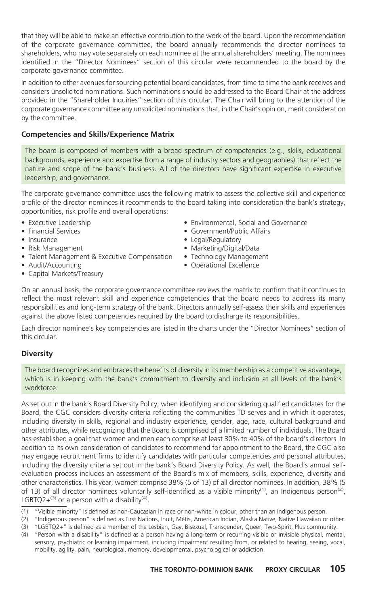that they will be able to make an effective contribution to the work of the board. Upon the recommendation of the corporate governance committee, the board annually recommends the director nominees to shareholders, who may vote separately on each nominee at the annual shareholders' meeting. The nominees identified in the "Director Nominees" section of this circular were recommended to the board by the corporate governance committee.

In addition to other avenues for sourcing potential board candidates, from time to time the bank receives and considers unsolicited nominations. Such nominations should be addressed to the Board Chair at the address provided in the "Shareholder Inquiries" section of this circular. The Chair will bring to the attention of the corporate governance committee any unsolicited nominations that, in the Chair's opinion, merit consideration by the committee.

#### **Competencies and Skills/Experience Matrix**

The board is composed of members with a broad spectrum of competencies (e.g., skills, educational backgrounds, experience and expertise from a range of industry sectors and geographies) that reflect the nature and scope of the bank's business. All of the directors have significant expertise in executive leadership, and governance.

The corporate governance committee uses the following matrix to assess the collective skill and experience profile of the director nominees it recommends to the board taking into consideration the bank's strategy, opportunities, risk profile and overall operations:

- Executive Leadership
- Financial Services
- Insurance
- Risk Management
- Talent Management & Executive Compensation
- Audit/Accounting
- Capital Markets/Treasury
- Environmental, Social and Governance
- Government/Public Affairs
- Legal/Regulatory
- Marketing/Digital/Data
- Technology Management
- Operational Excellence

On an annual basis, the corporate governance committee reviews the matrix to confirm that it continues to reflect the most relevant skill and experience competencies that the board needs to address its many responsibilities and long-term strategy of the bank. Directors annually self-assess their skills and experiences against the above listed competencies required by the board to discharge its responsibilities.

Each director nominee's key competencies are listed in the charts under the "Director Nominees" section of this circular.

#### **Diversity**

The board recognizes and embraces the benefits of diversity in its membership as a competitive advantage, which is in keeping with the bank's commitment to diversity and inclusion at all levels of the bank's workforce.

As set out in the bank's Board Diversity Policy, when identifying and considering qualified candidates for the Board, the CGC considers diversity criteria reflecting the communities TD serves and in which it operates, including diversity in skills, regional and industry experience, gender, age, race, cultural background and other attributes, while recognizing that the Board is comprised of a limited number of individuals. The Board has established a goal that women and men each comprise at least 30% to 40% of the board's directors. In addition to its own consideration of candidates to recommend for appointment to the Board, the CGC also may engage recruitment firms to identify candidates with particular competencies and personal attributes, including the diversity criteria set out in the bank's Board Diversity Policy. As well, the Board's annual selfevaluation process includes an assessment of the Board's mix of members, skills, experience, diversity and other characteristics. This year, women comprise 38% (5 of 13) of all director nominees. In addition, 38% (5 of 13) of all director nominees voluntarily self-identified as a visible minority<sup>(1)</sup>, an Indigenous person<sup>(2)</sup>, LGBTQ2+ $(3)$  or a person with a disability $(4)$ .

(1) "Visible minority" is defined as non-Caucasian in race or non-white in colour, other than an Indigenous person.

(2) "Indigenous person" is defined as First Nations, Inuit, Métis, American Indian, Alaska Native, Native Hawaiian or other. (3) "LGBTQ2+" is defined as a member of the Lesbian, Gay, Bisexual, Transgender, Queer, Two-Spirit, Plus community.

(4) "Person with a disability" is defined as a person having a long-term or recurring visible or invisible physical, mental, sensory, psychiatric or learning impairment, including impairment resulting from, or related to hearing, seeing, vocal, mobility, agility, pain, neurological, memory, developmental, psychological or addiction.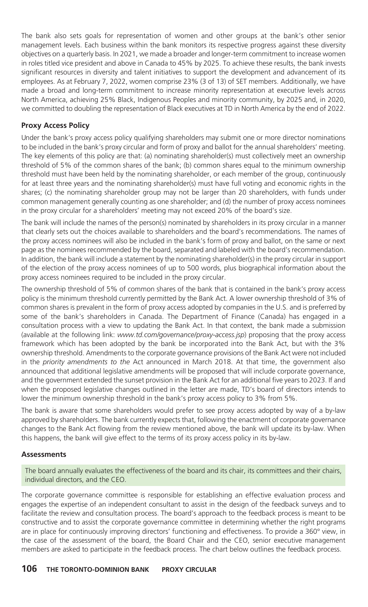The bank also sets goals for representation of women and other groups at the bank's other senior management levels. Each business within the bank monitors its respective progress against these diversity objectives on a quarterly basis. In 2021, we made a broader and longer-term commitment to increase women in roles titled vice president and above in Canada to 45% by 2025. To achieve these results, the bank invests significant resources in diversity and talent initiatives to support the development and advancement of its employees. As at February 7, 2022, women comprise 23% (3 of 13) of SET members. Additionally, we have made a broad and long-term commitment to increase minority representation at executive levels across North America, achieving 25% Black, Indigenous Peoples and minority community, by 2025 and, in 2020, we committed to doubling the representation of Black executives at TD in North America by the end of 2022.

### **Proxy Access Policy**

Under the bank's proxy access policy qualifying shareholders may submit one or more director nominations to be included in the bank's proxy circular and form of proxy and ballot for the annual shareholders' meeting. The key elements of this policy are that: (a) nominating shareholder(s) must collectively meet an ownership threshold of 5% of the common shares of the bank; (b) common shares equal to the minimum ownership threshold must have been held by the nominating shareholder, or each member of the group, continuously for at least three years and the nominating shareholder(s) must have full voting and economic rights in the shares; (c) the nominating shareholder group may not be larger than 20 shareholders, with funds under common management generally counting as one shareholder; and (d) the number of proxy access nominees in the proxy circular for a shareholders' meeting may not exceed 20% of the board's size.

The bank will include the names of the person(s) nominated by shareholders in its proxy circular in a manner that clearly sets out the choices available to shareholders and the board's recommendations. The names of the proxy access nominees will also be included in the bank's form of proxy and ballot, on the same or next page as the nominees recommended by the board, separated and labeled with the board's recommendation. In addition, the bank will include a statement by the nominating shareholder(s) in the proxy circular in support of the election of the proxy access nominees of up to 500 words, plus biographical information about the proxy access nominees required to be included in the proxy circular.

The ownership threshold of 5% of common shares of the bank that is contained in the bank's proxy access policy is the minimum threshold currently permitted by the Bank Act. A lower ownership threshold of 3% of common shares is prevalent in the form of proxy access adopted by companies in the U.S. and is preferred by some of the bank's shareholders in Canada. The Department of Finance (Canada) has engaged in a consultation process with a view to updating the Bank Act. In that context, the bank made a submission (available at the following link: *www.td.com/governance/proxy-access.jsp*) proposing that the proxy access framework which has been adopted by the bank be incorporated into the Bank Act, but with the 3% ownership threshold. Amendments to the corporate governance provisions of the Bank Act were not included in the *priority amendments to the* Act announced in March 2018. At that time, the government also announced that additional legislative amendments will be proposed that will include corporate governance, and the government extended the sunset provision in the Bank Act for an additional five years to 2023. If and when the proposed legislative changes outlined in the letter are made, TD's board of directors intends to lower the minimum ownership threshold in the bank's proxy access policy to 3% from 5%.

The bank is aware that some shareholders would prefer to see proxy access adopted by way of a by-law approved by shareholders. The bank currently expects that, following the enactment of corporate governance changes to the Bank Act flowing from the review mentioned above, the bank will update its by-law. When this happens, the bank will give effect to the terms of its proxy access policy in its by-law.

#### **Assessments**

The board annually evaluates the effectiveness of the board and its chair, its committees and their chairs, individual directors, and the CEO.

The corporate governance committee is responsible for establishing an effective evaluation process and engages the expertise of an independent consultant to assist in the design of the feedback surveys and to facilitate the review and consultation process. The board's approach to the feedback process is meant to be constructive and to assist the corporate governance committee in determining whether the right programs are in place for continuously improving directors' functioning and effectiveness. To provide a 360° view, in the case of the assessment of the board, the Board Chair and the CEO, senior executive management members are asked to participate in the feedback process. The chart below outlines the feedback process.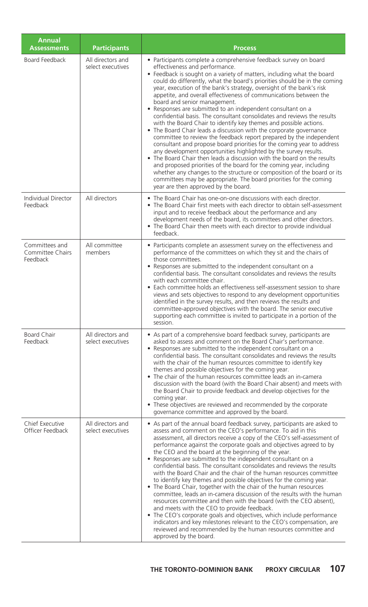| <b>Annual</b><br><b>Assessments</b>            | <b>Participants</b>                    | <b>Process</b>                                                                                                                                                                                                                                                                                                                                                                                                                                                                                                                                                                                                                                                                                                                                                                                                                                                                                                                                                                                                                                                                                                                                                                                                                                                                              |
|------------------------------------------------|----------------------------------------|---------------------------------------------------------------------------------------------------------------------------------------------------------------------------------------------------------------------------------------------------------------------------------------------------------------------------------------------------------------------------------------------------------------------------------------------------------------------------------------------------------------------------------------------------------------------------------------------------------------------------------------------------------------------------------------------------------------------------------------------------------------------------------------------------------------------------------------------------------------------------------------------------------------------------------------------------------------------------------------------------------------------------------------------------------------------------------------------------------------------------------------------------------------------------------------------------------------------------------------------------------------------------------------------|
| Board Feedback                                 | All directors and<br>select executives | • Participants complete a comprehensive feedback survey on board<br>effectiveness and performance.<br>• Feedback is sought on a variety of matters, including what the board<br>could do differently, what the board's priorities should be in the coming<br>year, execution of the bank's strategy, oversight of the bank's risk<br>appetite, and overall effectiveness of communications between the<br>board and senior management.<br>• Responses are submitted to an independent consultant on a<br>confidential basis. The consultant consolidates and reviews the results<br>with the Board Chair to identify key themes and possible actions.<br>• The Board Chair leads a discussion with the corporate governance<br>committee to review the feedback report prepared by the independent<br>consultant and propose board priorities for the coming year to address<br>any development opportunities highlighted by the survey results.<br>• The Board Chair then leads a discussion with the board on the results<br>and proposed priorities of the board for the coming year, including<br>whether any changes to the structure or composition of the board or its<br>committees may be appropriate. The board priorities for the coming<br>year are then approved by the board. |
| Individual Director<br>Feedback                | All directors                          | • The Board Chair has one-on-one discussions with each director.<br>• The Board Chair first meets with each director to obtain self-assessment<br>input and to receive feedback about the performance and any<br>development needs of the board, its committees and other directors.<br>• The Board Chair then meets with each director to provide individual<br>feedback.                                                                                                                                                                                                                                                                                                                                                                                                                                                                                                                                                                                                                                                                                                                                                                                                                                                                                                                  |
| Committees and<br>Committee Chairs<br>Feedback | All committee<br>members               | • Participants complete an assessment survey on the effectiveness and<br>performance of the committees on which they sit and the chairs of<br>those committees.<br>• Responses are submitted to the independent consultant on a<br>confidential basis. The consultant consolidates and reviews the results<br>with each committee chair.<br>• Each committee holds an effectiveness self-assessment session to share<br>views and sets objectives to respond to any development opportunities<br>identified in the survey results, and then reviews the results and<br>committee-approved objectives with the board. The senior executive<br>supporting each committee is invited to participate in a portion of the<br>session.                                                                                                                                                                                                                                                                                                                                                                                                                                                                                                                                                            |
| <b>Board Chair</b><br>Feedback                 | All directors and<br>select executives | • As part of a comprehensive board feedback survey, participants are<br>asked to assess and comment on the Board Chair's performance.<br>• Responses are submitted to the independent consultant on a<br>confidential basis. The consultant consolidates and reviews the results<br>with the chair of the human resources committee to identify key<br>themes and possible objectives for the coming year.<br>• The chair of the human resources committee leads an in-camera<br>discussion with the board (with the Board Chair absent) and meets with<br>the Board Chair to provide feedback and develop objectives for the<br>coming year.<br>• These objectives are reviewed and recommended by the corporate<br>governance committee and approved by the board.                                                                                                                                                                                                                                                                                                                                                                                                                                                                                                                        |
| Chief Executive<br>Officer Feedback            | All directors and<br>select executives | • As part of the annual board feedback survey, participants are asked to<br>assess and comment on the CEO's performance. To aid in this<br>assessment, all directors receive a copy of the CEO's self-assessment of<br>performance against the corporate goals and objectives agreed to by<br>the CEO and the board at the beginning of the year.<br>• Responses are submitted to the independent consultant on a<br>confidential basis. The consultant consolidates and reviews the results<br>with the Board Chair and the chair of the human resources committee<br>to identify key themes and possible objectives for the coming year.<br>• The Board Chair, together with the chair of the human resources<br>committee, leads an in-camera discussion of the results with the human<br>resources committee and then with the board (with the CEO absent),<br>and meets with the CEO to provide feedback.<br>• The CEO's corporate goals and objectives, which include performance<br>indicators and key milestones relevant to the CEO's compensation, are<br>reviewed and recommended by the human resources committee and<br>approved by the board.                                                                                                                                 |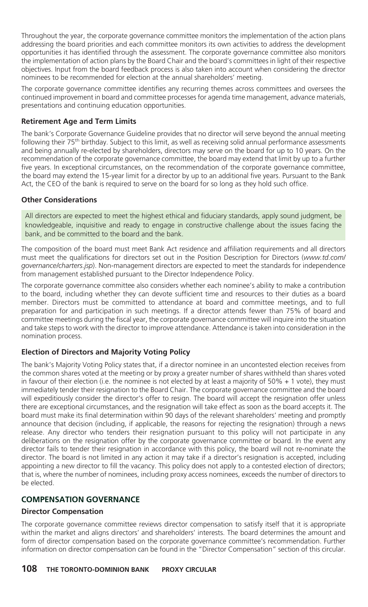Throughout the year, the corporate governance committee monitors the implementation of the action plans addressing the board priorities and each committee monitors its own activities to address the development opportunities it has identified through the assessment. The corporate governance committee also monitors the implementation of action plans by the Board Chair and the board's committees in light of their respective objectives. Input from the board feedback process is also taken into account when considering the director nominees to be recommended for election at the annual shareholders' meeting.

The corporate governance committee identifies any recurring themes across committees and oversees the continued improvement in board and committee processes for agenda time management, advance materials, presentations and continuing education opportunities.

#### **Retirement Age and Term Limits**

The bank's Corporate Governance Guideline provides that no director will serve beyond the annual meeting following their 75<sup>th</sup> birthday. Subject to this limit, as well as receiving solid annual performance assessments and being annually re-elected by shareholders, directors may serve on the board for up to 10 years. On the recommendation of the corporate governance committee, the board may extend that limit by up to a further five years. In exceptional circumstances, on the recommendation of the corporate governance committee, the board may extend the 15-year limit for a director by up to an additional five years. Pursuant to the Bank Act, the CEO of the bank is required to serve on the board for so long as they hold such office.

#### **Other Considerations**

All directors are expected to meet the highest ethical and fiduciary standards, apply sound judgment, be knowledgeable, inquisitive and ready to engage in constructive challenge about the issues facing the bank, and be committed to the board and the bank.

The composition of the board must meet Bank Act residence and affiliation requirements and all directors must meet the qualifications for directors set out in the Position Description for Directors (*www.td.com/ governance/charters.jsp*). Non-management directors are expected to meet the standards for independence from management established pursuant to the Director Independence Policy.

The corporate governance committee also considers whether each nominee's ability to make a contribution to the board, including whether they can devote sufficient time and resources to their duties as a board member. Directors must be committed to attendance at board and committee meetings, and to full preparation for and participation in such meetings. If a director attends fewer than 75% of board and committee meetings during the fiscal year, the corporate governance committee will inquire into the situation and take steps to work with the director to improve attendance. Attendance is taken into consideration in the nomination process.

#### **Election of Directors and Majority Voting Policy**

The bank's Majority Voting Policy states that, if a director nominee in an uncontested election receives from the common shares voted at the meeting or by proxy a greater number of shares withheld than shares voted in favour of their election (i.e. the nominee is not elected by at least a majority of  $50\% + 1$  vote), they must immediately tender their resignation to the Board Chair. The corporate governance committee and the board will expeditiously consider the director's offer to resign. The board will accept the resignation offer unless there are exceptional circumstances, and the resignation will take effect as soon as the board accepts it. The board must make its final determination within 90 days of the relevant shareholders' meeting and promptly announce that decision (including, if applicable, the reasons for rejecting the resignation) through a news release. Any director who tenders their resignation pursuant to this policy will not participate in any deliberations on the resignation offer by the corporate governance committee or board. In the event any director fails to tender their resignation in accordance with this policy, the board will not re-nominate the director. The board is not limited in any action it may take if a director's resignation is accepted, including appointing a new director to fill the vacancy. This policy does not apply to a contested election of directors; that is, where the number of nominees, including proxy access nominees, exceeds the number of directors to be elected.

#### **COMPENSATION GOVERNANCE**

#### **Director Compensation**

The corporate governance committee reviews director compensation to satisfy itself that it is appropriate within the market and aligns directors' and shareholders' interests. The board determines the amount and form of director compensation based on the corporate governance committee's recommendation. Further information on director compensation can be found in the "Director Compensation" section of this circular.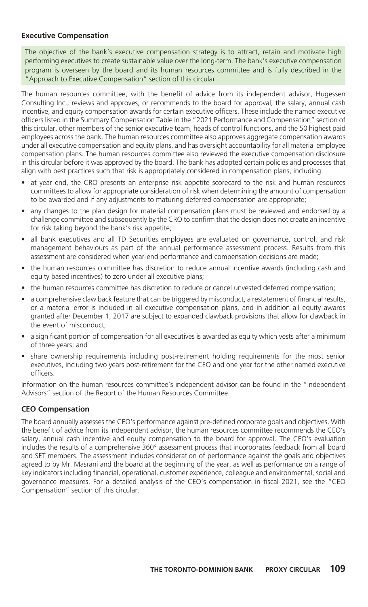#### **Executive Compensation**

The objective of the bank's executive compensation strategy is to attract, retain and motivate high performing executives to create sustainable value over the long-term. The bank's executive compensation program is overseen by the board and its human resources committee and is fully described in the "Approach to Executive Compensation" section of this circular.

The human resources committee, with the benefit of advice from its independent advisor, Hugessen Consulting Inc., reviews and approves, or recommends to the board for approval, the salary, annual cash incentive, and equity compensation awards for certain executive officers. These include the named executive officers listed in the Summary Compensation Table in the "2021 Performance and Compensation" section of this circular, other members of the senior executive team, heads of control functions, and the 50 highest paid employees across the bank. The human resources committee also approves aggregate compensation awards under all executive compensation and equity plans, and has oversight accountability for all material employee compensation plans. The human resources committee also reviewed the executive compensation disclosure in this circular before it was approved by the board. The bank has adopted certain policies and processes that align with best practices such that risk is appropriately considered in compensation plans, including:

- at year end, the CRO presents an enterprise risk appetite scorecard to the risk and human resources committees to allow for appropriate consideration of risk when determining the amount of compensation to be awarded and if any adjustments to maturing deferred compensation are appropriate;
- any changes to the plan design for material compensation plans must be reviewed and endorsed by a challenge committee and subsequently by the CRO to confirm that the design does not create an incentive for risk taking beyond the bank's risk appetite;
- all bank executives and all TD Securities employees are evaluated on governance, control, and risk management behaviours as part of the annual performance assessment process. Results from this assessment are considered when year-end performance and compensation decisions are made;
- the human resources committee has discretion to reduce annual incentive awards (including cash and equity based incentives) to zero under all executive plans;
- the human resources committee has discretion to reduce or cancel unvested deferred compensation;
- a comprehensive claw back feature that can be triggered by misconduct, a restatement of financial results, or a material error is included in all executive compensation plans, and in addition all equity awards granted after December 1, 2017 are subject to expanded clawback provisions that allow for clawback in the event of misconduct;
- a significant portion of compensation for all executives is awarded as equity which vests after a minimum of three years; and
- share ownership requirements including post-retirement holding requirements for the most senior executives, including two years post-retirement for the CEO and one year for the other named executive officers.

Information on the human resources committee's independent advisor can be found in the "Independent Advisors" section of the Report of the Human Resources Committee.

#### **CEO Compensation**

The board annually assesses the CEO's performance against pre-defined corporate goals and objectives. With the benefit of advice from its independent advisor, the human resources committee recommends the CEO's salary, annual cash incentive and equity compensation to the board for approval. The CEO's evaluation includes the results of a comprehensive 360° assessment process that incorporates feedback from all board and SET members. The assessment includes consideration of performance against the goals and objectives agreed to by Mr. Masrani and the board at the beginning of the year, as well as performance on a range of key indicators including financial, operational, customer experience, colleague and environmental, social and governance measures. For a detailed analysis of the CEO's compensation in fiscal 2021, see the "CEO Compensation" section of this circular.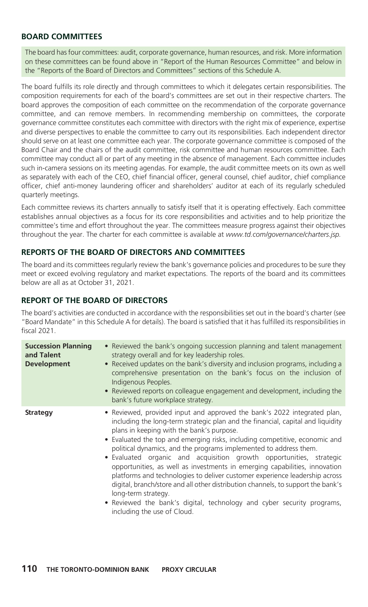## **BOARD COMMITTEES**

The board has four committees: audit, corporate governance, human resources, and risk. More information on these committees can be found above in "Report of the Human Resources Committee" and below in the "Reports of the Board of Directors and Committees" sections of this Schedule A.

The board fulfills its role directly and through committees to which it delegates certain responsibilities. The composition requirements for each of the board's committees are set out in their respective charters. The board approves the composition of each committee on the recommendation of the corporate governance committee, and can remove members. In recommending membership on committees, the corporate governance committee constitutes each committee with directors with the right mix of experience, expertise and diverse perspectives to enable the committee to carry out its responsibilities. Each independent director should serve on at least one committee each year. The corporate governance committee is composed of the Board Chair and the chairs of the audit committee, risk committee and human resources committee. Each committee may conduct all or part of any meeting in the absence of management. Each committee includes such in-camera sessions on its meeting agendas. For example, the audit committee meets on its own as well as separately with each of the CEO, chief financial officer, general counsel, chief auditor, chief compliance officer, chief anti-money laundering officer and shareholders' auditor at each of its regularly scheduled quarterly meetings.

Each committee reviews its charters annually to satisfy itself that it is operating effectively. Each committee establishes annual objectives as a focus for its core responsibilities and activities and to help prioritize the committee's time and effort throughout the year. The committees measure progress against their objectives throughout the year. The charter for each committee is available at *www.td.com/governance/charters.jsp.*

## **REPORTS OF THE BOARD OF DIRECTORS AND COMMITTEES**

The board and its committees regularly review the bank's governance policies and procedures to be sure they meet or exceed evolving regulatory and market expectations. The reports of the board and its committees below are all as at October 31, 2021.

## **REPORT OF THE BOARD OF DIRECTORS**

The board's activities are conducted in accordance with the responsibilities set out in the board's charter (see "Board Mandate" in this Schedule A for details). The board is satisfied that it has fulfilled its responsibilities in fiscal 2021.

| <b>Succession Planning</b><br>and Talent<br><b>Development</b> | • Reviewed the bank's ongoing succession planning and talent management<br>strategy overall and for key leadership roles.<br>• Received updates on the bank's diversity and inclusion programs, including a<br>comprehensive presentation on the bank's focus on the inclusion of<br>Indigenous Peoples.<br>• Reviewed reports on colleague engagement and development, including the<br>bank's future workplace strategy.                                                                                                                                                                                                                                                                                                                                                                                           |
|----------------------------------------------------------------|----------------------------------------------------------------------------------------------------------------------------------------------------------------------------------------------------------------------------------------------------------------------------------------------------------------------------------------------------------------------------------------------------------------------------------------------------------------------------------------------------------------------------------------------------------------------------------------------------------------------------------------------------------------------------------------------------------------------------------------------------------------------------------------------------------------------|
| <b>Strategy</b>                                                | • Reviewed, provided input and approved the bank's 2022 integrated plan,<br>including the long-term strategic plan and the financial, capital and liquidity<br>plans in keeping with the bank's purpose.<br>• Evaluated the top and emerging risks, including competitive, economic and<br>political dynamics, and the programs implemented to address them.<br>· Evaluated organic and acquisition growth opportunities, strategic<br>opportunities, as well as investments in emerging capabilities, innovation<br>platforms and technologies to deliver customer experience leadership across<br>digital, branch/store and all other distribution channels, to support the bank's<br>long-term strategy.<br>• Reviewed the bank's digital, technology and cyber security programs,<br>including the use of Cloud. |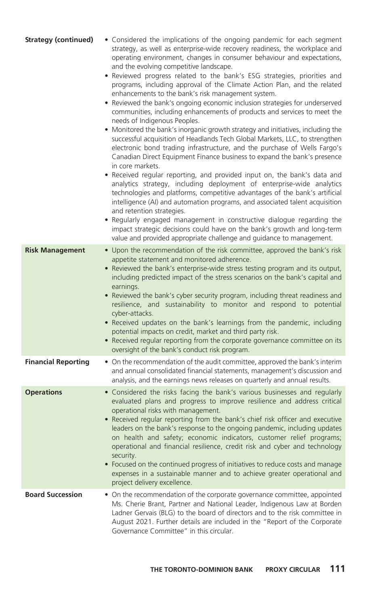| <b>Strategy (continued)</b> | • Considered the implications of the ongoing pandemic for each segment<br>strategy, as well as enterprise-wide recovery readiness, the workplace and<br>operating environment, changes in consumer behaviour and expectations,<br>and the evolving competitive landscape.<br>• Reviewed progress related to the bank's ESG strategies, priorities and<br>programs, including approval of the Climate Action Plan, and the related<br>enhancements to the bank's risk management system.<br>Reviewed the bank's ongoing economic inclusion strategies for underserved<br>communities, including enhancements of products and services to meet the<br>needs of Indigenous Peoples.<br>Monitored the bank's inorganic growth strategy and initiatives, including the<br>$\bullet$<br>successful acquisition of Headlands Tech Global Markets, LLC, to strengthen<br>electronic bond trading infrastructure, and the purchase of Wells Fargo's<br>Canadian Direct Equipment Finance business to expand the bank's presence<br>in core markets.<br>Received regular reporting, and provided input on, the bank's data and<br>analytics strategy, including deployment of enterprise-wide analytics<br>technologies and platforms, competitive advantages of the bank's artificial<br>intelligence (AI) and automation programs, and associated talent acquisition<br>and retention strategies.<br>• Regularly engaged management in constructive dialogue regarding the<br>impact strategic decisions could have on the bank's growth and long-term<br>value and provided appropriate challenge and guidance to management. |
|-----------------------------|------------------------------------------------------------------------------------------------------------------------------------------------------------------------------------------------------------------------------------------------------------------------------------------------------------------------------------------------------------------------------------------------------------------------------------------------------------------------------------------------------------------------------------------------------------------------------------------------------------------------------------------------------------------------------------------------------------------------------------------------------------------------------------------------------------------------------------------------------------------------------------------------------------------------------------------------------------------------------------------------------------------------------------------------------------------------------------------------------------------------------------------------------------------------------------------------------------------------------------------------------------------------------------------------------------------------------------------------------------------------------------------------------------------------------------------------------------------------------------------------------------------------------------------------------------------------------------------------------------------------|
| <b>Risk Management</b>      | • Upon the recommendation of the risk committee, approved the bank's risk<br>appetite statement and monitored adherence.<br>Reviewed the bank's enterprise-wide stress testing program and its output,<br>including predicted impact of the stress scenarios on the bank's capital and<br>earnings.<br>• Reviewed the bank's cyber security program, including threat readiness and<br>resilience, and sustainability to monitor and respond to potential<br>cyber-attacks.<br>Received updates on the bank's learnings from the pandemic, including<br>potential impacts on credit, market and third party risk.<br>• Received regular reporting from the corporate governance committee on its<br>oversight of the bank's conduct risk program.                                                                                                                                                                                                                                                                                                                                                                                                                                                                                                                                                                                                                                                                                                                                                                                                                                                                      |
| <b>Financial Reporting</b>  | • On the recommendation of the audit committee, approved the bank's interim<br>and annual consolidated financial statements, management's discussion and<br>analysis, and the earnings news releases on quarterly and annual results.                                                                                                                                                                                                                                                                                                                                                                                                                                                                                                                                                                                                                                                                                                                                                                                                                                                                                                                                                                                                                                                                                                                                                                                                                                                                                                                                                                                  |
| <b>Operations</b>           | • Considered the risks facing the bank's various businesses and regularly<br>evaluated plans and progress to improve resilience and address critical<br>operational risks with management.<br>Received regular reporting from the bank's chief risk officer and executive<br>leaders on the bank's response to the ongoing pandemic, including updates<br>on health and safety; economic indicators, customer relief programs;<br>operational and financial resilience, credit risk and cyber and technology<br>security.<br>Focused on the continued progress of initiatives to reduce costs and manage<br>$\bullet$<br>expenses in a sustainable manner and to achieve greater operational and<br>project delivery excellence.                                                                                                                                                                                                                                                                                                                                                                                                                                                                                                                                                                                                                                                                                                                                                                                                                                                                                       |
| <b>Board Succession</b>     | • On the recommendation of the corporate governance committee, appointed<br>Ms. Cherie Brant, Partner and National Leader, Indigenous Law at Borden<br>Ladner Gervais (BLG) to the board of directors and to the risk committee in<br>August 2021. Further details are included in the "Report of the Corporate<br>Governance Committee" in this circular.                                                                                                                                                                                                                                                                                                                                                                                                                                                                                                                                                                                                                                                                                                                                                                                                                                                                                                                                                                                                                                                                                                                                                                                                                                                             |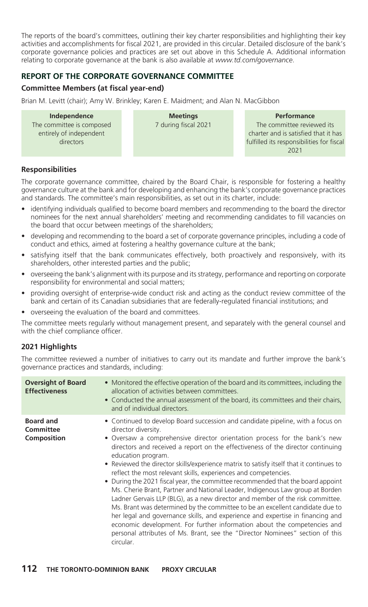The reports of the board's committees, outlining their key charter responsibilities and highlighting their key activities and accomplishments for fiscal 2021, are provided in this circular. Detailed disclosure of the bank's corporate governance policies and practices are set out above in this Schedule A. Additional information relating to corporate governance at the bank is also available at *www.td.com/governance*.

## **REPORT OF THE CORPORATE GOVERNANCE COMMITTEE**

#### **Committee Members (at fiscal year-end)**

Brian M. Levitt (chair); Amy W. Brinkley; Karen E. Maidment; and Alan N. MacGibbon

#### **Independence** The committee is composed entirely of independent directors

**Meetings** 7 during fiscal 2021

#### **Performance**

The committee reviewed its charter and is satisfied that it has fulfilled its responsibilities for fiscal 2021

#### **Responsibilities**

The corporate governance committee, chaired by the Board Chair, is responsible for fostering a healthy governance culture at the bank and for developing and enhancing the bank's corporate governance practices and standards. The committee's main responsibilities, as set out in its charter, include:

- identifying individuals qualified to become board members and recommending to the board the director nominees for the next annual shareholders' meeting and recommending candidates to fill vacancies on the board that occur between meetings of the shareholders;
- developing and recommending to the board a set of corporate governance principles, including a code of conduct and ethics, aimed at fostering a healthy governance culture at the bank;
- satisfying itself that the bank communicates effectively, both proactively and responsively, with its shareholders, other interested parties and the public;
- overseeing the bank's alignment with its purpose and its strategy, performance and reporting on corporate responsibility for environmental and social matters;
- providing oversight of enterprise-wide conduct risk and acting as the conduct review committee of the bank and certain of its Canadian subsidiaries that are federally-regulated financial institutions; and
- overseeing the evaluation of the board and committees.

The committee meets regularly without management present, and separately with the general counsel and with the chief compliance officer.

#### **2021 Highlights**

The committee reviewed a number of initiatives to carry out its mandate and further improve the bank's governance practices and standards, including:

| <b>Oversight of Board</b><br><b>Effectiveness</b>   | • Monitored the effective operation of the board and its committees, including the<br>allocation of activities between committees.<br>• Conducted the annual assessment of the board, its committees and their chairs,<br>and of individual directors.                                                                                                                                                                                                                                                                                                                                                                                                                                                                                                                                                                                                                                                                                                                                                                                                       |
|-----------------------------------------------------|--------------------------------------------------------------------------------------------------------------------------------------------------------------------------------------------------------------------------------------------------------------------------------------------------------------------------------------------------------------------------------------------------------------------------------------------------------------------------------------------------------------------------------------------------------------------------------------------------------------------------------------------------------------------------------------------------------------------------------------------------------------------------------------------------------------------------------------------------------------------------------------------------------------------------------------------------------------------------------------------------------------------------------------------------------------|
| <b>Board and</b><br><b>Committee</b><br>Composition | • Continued to develop Board succession and candidate pipeline, with a focus on<br>director diversity.<br>• Oversaw a comprehensive director orientation process for the bank's new<br>directors and received a report on the effectiveness of the director continuing<br>education program.<br>• Reviewed the director skills/experience matrix to satisfy itself that it continues to<br>reflect the most relevant skills, experiences and competencies.<br>• During the 2021 fiscal year, the committee recommended that the board appoint<br>Ms. Cherie Brant, Partner and National Leader, Indigenous Law group at Borden<br>Ladner Gervais LLP (BLG), as a new director and member of the risk committee.<br>Ms. Brant was determined by the committee to be an excellent candidate due to<br>her legal and governance skills, and experience and expertise in financing and<br>economic development. For further information about the competencies and<br>personal attributes of Ms. Brant, see the "Director Nominees" section of this<br>circular. |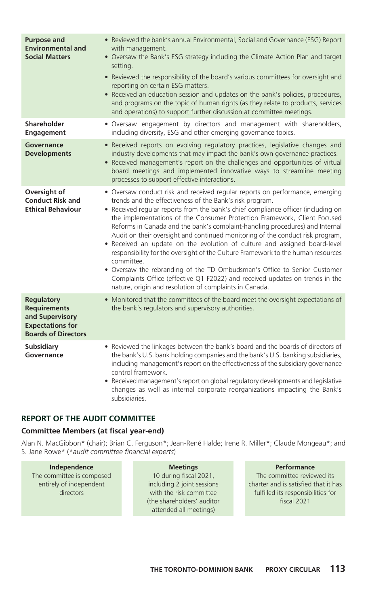| <b>Purpose and</b><br><b>Environmental and</b><br><b>Social Matters</b>                                              | • Reviewed the bank's annual Environmental, Social and Governance (ESG) Report<br>with management.<br>• Oversaw the Bank's ESG strategy including the Climate Action Plan and target<br>setting.                                                                                                                                                                                                                                                                                                                                                                                                                                                                                                                                                                                                                                                                                            |  |  |
|----------------------------------------------------------------------------------------------------------------------|---------------------------------------------------------------------------------------------------------------------------------------------------------------------------------------------------------------------------------------------------------------------------------------------------------------------------------------------------------------------------------------------------------------------------------------------------------------------------------------------------------------------------------------------------------------------------------------------------------------------------------------------------------------------------------------------------------------------------------------------------------------------------------------------------------------------------------------------------------------------------------------------|--|--|
|                                                                                                                      | • Reviewed the responsibility of the board's various committees for oversight and<br>reporting on certain ESG matters.<br>Received an education session and updates on the bank's policies, procedures,<br>and programs on the topic of human rights (as they relate to products, services<br>and operations) to support further discussion at committee meetings.                                                                                                                                                                                                                                                                                                                                                                                                                                                                                                                          |  |  |
| <b>Shareholder</b><br><b>Engagement</b>                                                                              | • Oversaw engagement by directors and management with shareholders,<br>including diversity, ESG and other emerging governance topics.                                                                                                                                                                                                                                                                                                                                                                                                                                                                                                                                                                                                                                                                                                                                                       |  |  |
| <b>Governance</b><br><b>Developments</b>                                                                             | • Received reports on evolving regulatory practices, legislative changes and<br>industry developments that may impact the bank's own governance practices.<br>• Received management's report on the challenges and opportunities of virtual<br>board meetings and implemented innovative ways to streamline meeting<br>processes to support effective interactions.                                                                                                                                                                                                                                                                                                                                                                                                                                                                                                                         |  |  |
| Oversight of<br><b>Conduct Risk and</b><br><b>Ethical Behaviour</b>                                                  | • Oversaw conduct risk and received regular reports on performance, emerging<br>trends and the effectiveness of the Bank's risk program.<br>• Received regular reports from the bank's chief compliance officer (including on<br>the implementations of the Consumer Protection Framework, Client Focused<br>Reforms in Canada and the bank's complaint-handling procedures) and Internal<br>Audit on their oversight and continued monitoring of the conduct risk program,<br>Received an update on the evolution of culture and assigned board-level<br>$\bullet$<br>responsibility for the oversight of the Culture Framework to the human resources<br>committee.<br>• Oversaw the rebranding of the TD Ombudsman's Office to Senior Customer<br>Complaints Office (effective Q1 F2022) and received updates on trends in the<br>nature, origin and resolution of complaints in Canada. |  |  |
| <b>Regulatory</b><br><b>Requirements</b><br>and Supervisory<br><b>Expectations for</b><br><b>Boards of Directors</b> | • Monitored that the committees of the board meet the oversight expectations of<br>the bank's regulators and supervisory authorities.                                                                                                                                                                                                                                                                                                                                                                                                                                                                                                                                                                                                                                                                                                                                                       |  |  |
| <b>Subsidiary</b><br>Governance                                                                                      | • Reviewed the linkages between the bank's board and the boards of directors of<br>the bank's U.S. bank holding companies and the bank's U.S. banking subsidiaries,<br>including management's report on the effectiveness of the subsidiary governance<br>control framework.<br>• Received management's report on global regulatory developments and legislative<br>changes as well as internal corporate reorganizations impacting the Bank's<br>subsidiaries.                                                                                                                                                                                                                                                                                                                                                                                                                             |  |  |

## **REPORT OF THE AUDIT COMMITTEE**

#### **Committee Members (at fiscal year-end)**

Alan N. MacGibbon\* (chair); Brian C. Ferguson\*; Jean-René Halde; Irene R. Miller\*; Claude Mongeau\*; and S. Jane Rowe\* (\**audit committee financial experts*)

| ane Rowe* (*audit committee financial experts) |  |                            |  |  |
|------------------------------------------------|--|----------------------------|--|--|
| Independence                                   |  | <b>Meetings</b>            |  |  |
| The committee is composed                      |  | 10 during fiscal 2021,     |  |  |
| entirely of independent                        |  | including 2 joint sessions |  |  |
| directors                                      |  | with the risk committee    |  |  |
|                                                |  | (the shareholders' auditor |  |  |
|                                                |  | attended all meetings)     |  |  |

**Performance** The committee reviewed its charter and is satisfied that it has fulfilled its responsibilities for fiscal 2021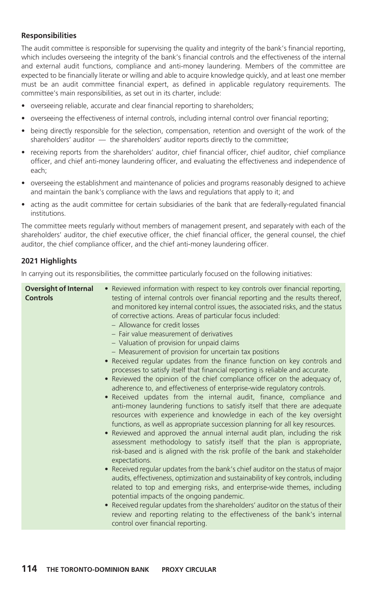### **Responsibilities**

The audit committee is responsible for supervising the quality and integrity of the bank's financial reporting, which includes overseeing the integrity of the bank's financial controls and the effectiveness of the internal and external audit functions, compliance and anti-money laundering. Members of the committee are expected to be financially literate or willing and able to acquire knowledge quickly, and at least one member must be an audit committee financial expert, as defined in applicable regulatory requirements. The committee's main responsibilities, as set out in its charter, include:

- overseeing reliable, accurate and clear financial reporting to shareholders;
- overseeing the effectiveness of internal controls, including internal control over financial reporting;
- being directly responsible for the selection, compensation, retention and oversight of the work of the shareholders' auditor — the shareholders' auditor reports directly to the committee;
- receiving reports from the shareholders' auditor, chief financial officer, chief auditor, chief compliance officer, and chief anti-money laundering officer, and evaluating the effectiveness and independence of each;
- overseeing the establishment and maintenance of policies and programs reasonably designed to achieve and maintain the bank's compliance with the laws and regulations that apply to it; and
- acting as the audit committee for certain subsidiaries of the bank that are federally-regulated financial institutions.

The committee meets regularly without members of management present, and separately with each of the shareholders' auditor, the chief executive officer, the chief financial officer, the general counsel, the chief auditor, the chief compliance officer, and the chief anti-money laundering officer.

### **2021 Highlights**

In carrying out its responsibilities, the committee particularly focused on the following initiatives:

|  | <b>Oversight of Internal</b><br><b>Controls</b> | • Reviewed information with respect to key controls over financial reporting,<br>testing of internal controls over financial reporting and the results thereof,<br>and monitored key internal control issues, the associated risks, and the status<br>of corrective actions. Areas of particular focus included:<br>- Allowance for credit losses<br>- Fair value measurement of derivatives<br>- Valuation of provision for unpaid claims<br>- Measurement of provision for uncertain tax positions<br>• Received regular updates from the finance function on key controls and<br>processes to satisfy itself that financial reporting is reliable and accurate.<br>Reviewed the opinion of the chief compliance officer on the adequacy of,<br>adherence to, and effectiveness of enterprise-wide regulatory controls.<br>Received updates from the internal audit, finance, compliance and<br>$\bullet$<br>anti-money laundering functions to satisfy itself that there are adequate<br>resources with experience and knowledge in each of the key oversight<br>functions, as well as appropriate succession planning for all key resources.<br>Reviewed and approved the annual internal audit plan, including the risk<br>$\bullet$<br>assessment methodology to satisfy itself that the plan is appropriate,<br>risk-based and is aligned with the risk profile of the bank and stakeholder<br>expectations.<br>Received regular updates from the bank's chief auditor on the status of major<br>audits, effectiveness, optimization and sustainability of key controls, including<br>related to top and emerging risks, and enterprise-wide themes, including<br>potential impacts of the ongoing pandemic.<br>Received regular updates from the shareholders' auditor on the status of their<br>review and reporting relating to the effectiveness of the bank's internal<br>control over financial reporting. |
|--|-------------------------------------------------|-------------------------------------------------------------------------------------------------------------------------------------------------------------------------------------------------------------------------------------------------------------------------------------------------------------------------------------------------------------------------------------------------------------------------------------------------------------------------------------------------------------------------------------------------------------------------------------------------------------------------------------------------------------------------------------------------------------------------------------------------------------------------------------------------------------------------------------------------------------------------------------------------------------------------------------------------------------------------------------------------------------------------------------------------------------------------------------------------------------------------------------------------------------------------------------------------------------------------------------------------------------------------------------------------------------------------------------------------------------------------------------------------------------------------------------------------------------------------------------------------------------------------------------------------------------------------------------------------------------------------------------------------------------------------------------------------------------------------------------------------------------------------------------------------------------------------------------------------------------------------------------------------------------------------|
|--|-------------------------------------------------|-------------------------------------------------------------------------------------------------------------------------------------------------------------------------------------------------------------------------------------------------------------------------------------------------------------------------------------------------------------------------------------------------------------------------------------------------------------------------------------------------------------------------------------------------------------------------------------------------------------------------------------------------------------------------------------------------------------------------------------------------------------------------------------------------------------------------------------------------------------------------------------------------------------------------------------------------------------------------------------------------------------------------------------------------------------------------------------------------------------------------------------------------------------------------------------------------------------------------------------------------------------------------------------------------------------------------------------------------------------------------------------------------------------------------------------------------------------------------------------------------------------------------------------------------------------------------------------------------------------------------------------------------------------------------------------------------------------------------------------------------------------------------------------------------------------------------------------------------------------------------------------------------------------------------|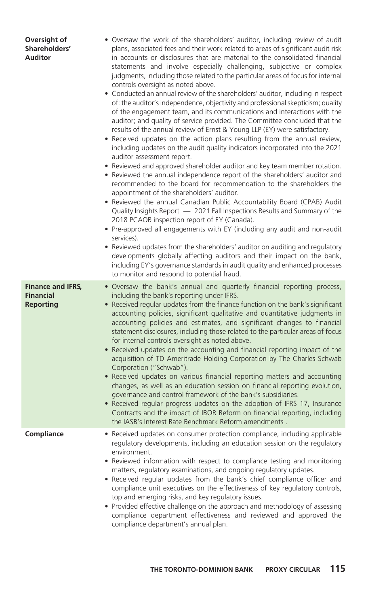| Oversight of<br>Shareholders'<br><b>Auditor</b>                  | • Oversaw the work of the shareholders' auditor, including review of audit<br>plans, associated fees and their work related to areas of significant audit risk<br>in accounts or disclosures that are material to the consolidated financial<br>statements and involve especially challenging, subjective or complex<br>judgments, including those related to the particular areas of focus for internal<br>controls oversight as noted above.<br>• Conducted an annual review of the shareholders' auditor, including in respect<br>of: the auditor's independence, objectivity and professional skepticism; quality<br>of the engagement team, and its communications and interactions with the<br>auditor; and quality of service provided. The Committee concluded that the<br>results of the annual review of Ernst & Young LLP (EY) were satisfactory.<br>Received updates on the action plans resulting from the annual review,<br>including updates on the audit quality indicators incorporated into the 2021<br>auditor assessment report.<br>Reviewed and approved shareholder auditor and key team member rotation.<br>Reviewed the annual independence report of the shareholders' auditor and<br>recommended to the board for recommendation to the shareholders the<br>appointment of the shareholders' auditor.<br>• Reviewed the annual Canadian Public Accountability Board (CPAB) Audit<br>Quality Insights Report - 2021 Fall Inspections Results and Summary of the<br>2018 PCAOB inspection report of EY (Canada).<br>Pre-approved all engagements with EY (including any audit and non-audit<br>services).<br>Reviewed updates from the shareholders' auditor on auditing and regulatory<br>developments globally affecting auditors and their impact on the bank,<br>including EY's governance standards in audit quality and enhanced processes<br>to monitor and respond to potential fraud. |
|------------------------------------------------------------------|------------------------------------------------------------------------------------------------------------------------------------------------------------------------------------------------------------------------------------------------------------------------------------------------------------------------------------------------------------------------------------------------------------------------------------------------------------------------------------------------------------------------------------------------------------------------------------------------------------------------------------------------------------------------------------------------------------------------------------------------------------------------------------------------------------------------------------------------------------------------------------------------------------------------------------------------------------------------------------------------------------------------------------------------------------------------------------------------------------------------------------------------------------------------------------------------------------------------------------------------------------------------------------------------------------------------------------------------------------------------------------------------------------------------------------------------------------------------------------------------------------------------------------------------------------------------------------------------------------------------------------------------------------------------------------------------------------------------------------------------------------------------------------------------------------------------------------------------------------------------------------------------------------------------|
| <b>Finance and IFRS,</b><br><b>Financial</b><br><b>Reporting</b> | Oversaw the bank's annual and quarterly financial reporting process,<br>$\bullet$<br>including the bank's reporting under IFRS.<br>Received regular updates from the finance function on the bank's significant<br>accounting policies, significant qualitative and quantitative judgments in<br>accounting policies and estimates, and significant changes to financial<br>statement disclosures, including those related to the particular areas of focus<br>for internal controls oversight as noted above.<br>Received updates on the accounting and financial reporting impact of the<br>$\bullet$<br>acquisition of TD Ameritrade Holding Corporation by The Charles Schwab<br>Corporation ("Schwab").<br>Received updates on various financial reporting matters and accounting<br>changes, as well as an education session on financial reporting evolution,<br>governance and control framework of the bank's subsidiaries.<br>• Received regular progress updates on the adoption of IFRS 17, Insurance<br>Contracts and the impact of IBOR Reform on financial reporting, including<br>the IASB's Interest Rate Benchmark Reform amendments.                                                                                                                                                                                                                                                                                                                                                                                                                                                                                                                                                                                                                                                                                                                                                                |
| Compliance                                                       | Received updates on consumer protection compliance, including applicable<br>regulatory developments, including an education session on the regulatory<br>environment.<br>• Reviewed information with respect to compliance testing and monitoring<br>matters, regulatory examinations, and ongoing regulatory updates.<br>• Received regular updates from the bank's chief compliance officer and<br>compliance unit executives on the effectiveness of key regulatory controls,<br>top and emerging risks, and key regulatory issues.<br>Provided effective challenge on the approach and methodology of assessing<br>compliance department effectiveness and reviewed and approved the<br>compliance department's annual plan.                                                                                                                                                                                                                                                                                                                                                                                                                                                                                                                                                                                                                                                                                                                                                                                                                                                                                                                                                                                                                                                                                                                                                                                       |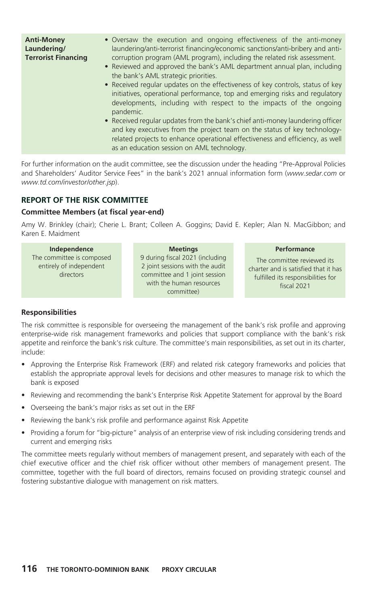| • Oversaw the execution and ongoing effectiveness of the anti-money<br><b>Anti-Money</b><br>laundering/anti-terrorist financing/economic sanctions/anti-bribery and anti-<br>Laundering/<br><b>Terrorist Financing</b><br>corruption program (AML program), including the related risk assessment.<br>• Reviewed and approved the bank's AML department annual plan, including<br>the bank's AML strategic priorities.<br>• Received regular updates on the effectiveness of key controls, status of key<br>initiatives, operational performance, top and emerging risks and regulatory<br>developments, including with respect to the impacts of the ongoing<br>pandemic.<br>• Received regular updates from the bank's chief anti-money laundering officer<br>and key executives from the project team on the status of key technology-<br>related projects to enhance operational effectiveness and efficiency, as well<br>as an education session on AML technology. |  |
|--------------------------------------------------------------------------------------------------------------------------------------------------------------------------------------------------------------------------------------------------------------------------------------------------------------------------------------------------------------------------------------------------------------------------------------------------------------------------------------------------------------------------------------------------------------------------------------------------------------------------------------------------------------------------------------------------------------------------------------------------------------------------------------------------------------------------------------------------------------------------------------------------------------------------------------------------------------------------|--|
|                                                                                                                                                                                                                                                                                                                                                                                                                                                                                                                                                                                                                                                                                                                                                                                                                                                                                                                                                                          |  |

For further information on the audit committee, see the discussion under the heading "Pre-Approval Policies and Shareholders' Auditor Service Fees" in the bank's 2021 annual information form (*www.sedar.com* or *www.td.com/investor/other.jsp*).

## **REPORT OF THE RISK COMMITTEE**

### **Committee Members (at fiscal year-end)**

Amy W. Brinkley (chair); Cherie L. Brant; Colleen A. Goggins; David E. Kepler; Alan N. MacGibbon; and Karen E. Maidment

| Independence                                                      |  | <b>Meetings</b>                                                                                                                               | Performance                                                                                                             |
|-------------------------------------------------------------------|--|-----------------------------------------------------------------------------------------------------------------------------------------------|-------------------------------------------------------------------------------------------------------------------------|
| The committee is composed<br>entirely of independent<br>directors |  | 9 during fiscal 2021 (including<br>2 joint sessions with the audit<br>committee and 1 joint session<br>with the human resources<br>committee) | The committee reviewed its<br>charter and is satisfied that it has<br>fulfilled its responsibilities for<br>fiscal 2021 |
|                                                                   |  |                                                                                                                                               |                                                                                                                         |

#### **Responsibilities**

The risk committee is responsible for overseeing the management of the bank's risk profile and approving enterprise-wide risk management frameworks and policies that support compliance with the bank's risk appetite and reinforce the bank's risk culture. The committee's main responsibilities, as set out in its charter, include:

- Approving the Enterprise Risk Framework (ERF) and related risk category frameworks and policies that establish the appropriate approval levels for decisions and other measures to manage risk to which the bank is exposed
- Reviewing and recommending the bank's Enterprise Risk Appetite Statement for approval by the Board
- Overseeing the bank's major risks as set out in the ERF
- Reviewing the bank's risk profile and performance against Risk Appetite
- Providing a forum for "big-picture" analysis of an enterprise view of risk including considering trends and current and emerging risks

The committee meets regularly without members of management present, and separately with each of the chief executive officer and the chief risk officer without other members of management present. The committee, together with the full board of directors, remains focused on providing strategic counsel and fostering substantive dialogue with management on risk matters.